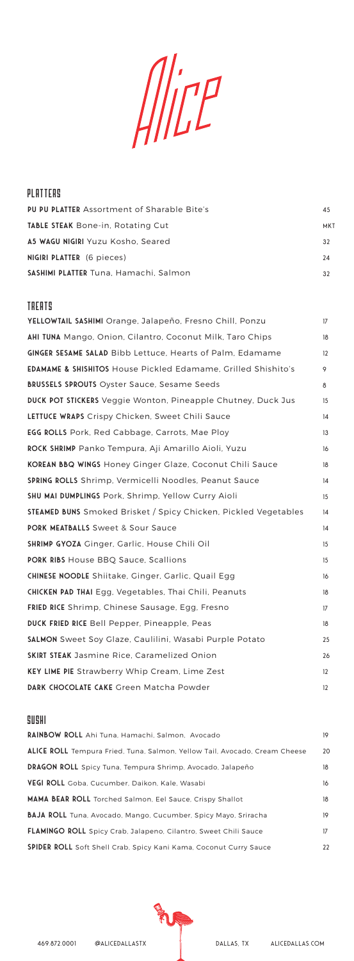$\iint P$ 

#### **PU PU PLATTER** Assortment of Sharable Bite's **TABLE STEAK** Bone-in, Rotating Cut **A5 Wagu Nigiri** Yuzu Kosho, Seared **NIGIRI PLATTER** (6 pieces) **Sashimi Platter** Tuna, Hamachi, Salmon 45 MKT 32 24 32 PLATTERS

#### TREATS

| YELLOWTAIL SASHIMI Orange, Jalapeño, Fresno Chill, Ponzu                 | 17 |
|--------------------------------------------------------------------------|----|
| AHI TUNA Mango, Onion, Cilantro, Coconut Milk, Taro Chips                | 18 |
| <b>GINGER SESAME SALAD</b> Bibb Lettuce, Hearts of Palm, Edamame         | 12 |
| <b>EDAMAME &amp; SHISHITOS House Pickled Edamame, Grilled Shishito's</b> | 9  |
| <b>BRUSSELS SPROUTS Oyster Sauce, Sesame Seeds</b>                       | 8  |
| <b>DUCK POT STICKERS</b> Veggie Wonton, Pineapple Chutney, Duck Jus      | 15 |
| LETTUCE WRAPS Crispy Chicken, Sweet Chili Sauce                          | 14 |
| <b>EGG ROLLS</b> Pork, Red Cabbage, Carrots, Mae Ploy                    | 13 |
| <b>ROCK SHRIMP</b> Panko Tempura, Aji Amarillo Aioli, Yuzu               | 16 |
| <b>KOREAN BBQ WINGS Honey Ginger Glaze, Coconut Chili Sauce</b>          | 18 |
| SPRING ROLLS Shrimp, Vermicelli Noodles, Peanut Sauce                    | 14 |
| <b>SHU MAI DUMPLINGS Pork, Shrimp, Yellow Curry Aioli</b>                | 15 |
| STEAMED BUNS Smoked Brisket / Spicy Chicken, Pickled Vegetables          | 14 |
| <b>PORK MEATBALLS Sweet &amp; Sour Sauce</b>                             | 14 |
| <b>SHRIMP GYOZA</b> Ginger, Garlic, House Chili Oil                      | 15 |
| <b>PORK RIBS House BBQ Sauce, Scallions</b>                              | 15 |
| <b>CHINESE NOODLE</b> Shiitake, Ginger, Garlic, Quail Egg                | 16 |
| <b>CHICKEN PAD THAI</b> Egg, Vegetables, Thai Chili, Peanuts             | 18 |
| <b>FRIED RICE</b> Shrimp, Chinese Sausage, Egg, Fresno                   | 17 |
| <b>DUCK FRIED RICE Bell Pepper, Pineapple, Peas</b>                      | 18 |
| <b>SALMON</b> Sweet Soy Glaze, Caulilini, Wasabi Purple Potato           | 25 |
| <b>SKIRT STEAK Jasmine Rice, Caramelized Onion</b>                       | 26 |
| <b>KEY LIME PIE Strawberry Whip Cream, Lime Zest</b>                     | 12 |
| DARK CHOCOLATE CAKE Green Matcha Powder                                  | 12 |

## SUSHI

| <b>RAINBOW ROLL</b> Ahi Tuna, Hamachi, Salmon, Avocado                     | 19 |
|----------------------------------------------------------------------------|----|
| ALICE ROLL Tempura Fried, Tuna, Salmon, Yellow Tail, Avocado, Cream Cheese | 20 |
| <b>DRAGON ROLL</b> Spicy Tuna, Tempura Shrimp, Avocado, Jalapeño           | 18 |
| VEGI ROLL Goba, Cucumber, Daikon, Kale, Wasabi                             | 16 |
| MAMA BEAR ROLL Torched Salmon, Eel Sauce, Crispy Shallot                   | 18 |
| <b>BAJA ROLL</b> Tuna, Avocado, Mango, Cucumber, Spicy Mayo, Sriracha      | 19 |
| <b>FLAMINGO ROLL</b> Spicy Crab, Jalapeno, Cilantro, Sweet Chili Sauce     | 17 |
| <b>SPIDER ROLL</b> Soft Shell Crab, Spicy Kani Kama, Coconut Curry Sauce   | 22 |